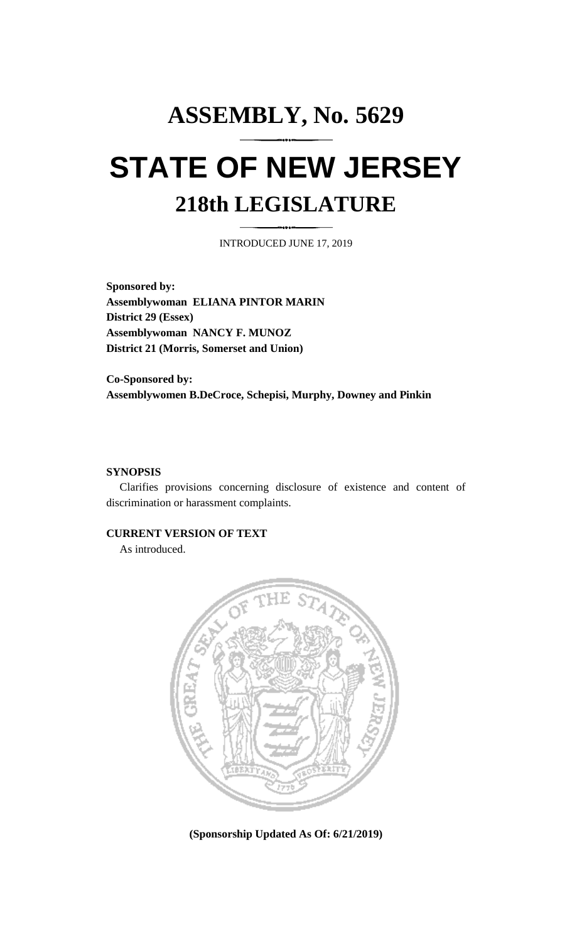# **ASSEMBLY, No. 5629 STATE OF NEW JERSEY 218th LEGISLATURE**

INTRODUCED JUNE 17, 2019

**Sponsored by: Assemblywoman ELIANA PINTOR MARIN District 29 (Essex) Assemblywoman NANCY F. MUNOZ District 21 (Morris, Somerset and Union)**

**Co-Sponsored by: Assemblywomen B.DeCroce, Schepisi, Murphy, Downey and Pinkin**

### **SYNOPSIS**

Clarifies provisions concerning disclosure of existence and content of discrimination or harassment complaints.

#### **CURRENT VERSION OF TEXT**

As introduced.



**(Sponsorship Updated As Of: 6/21/2019)**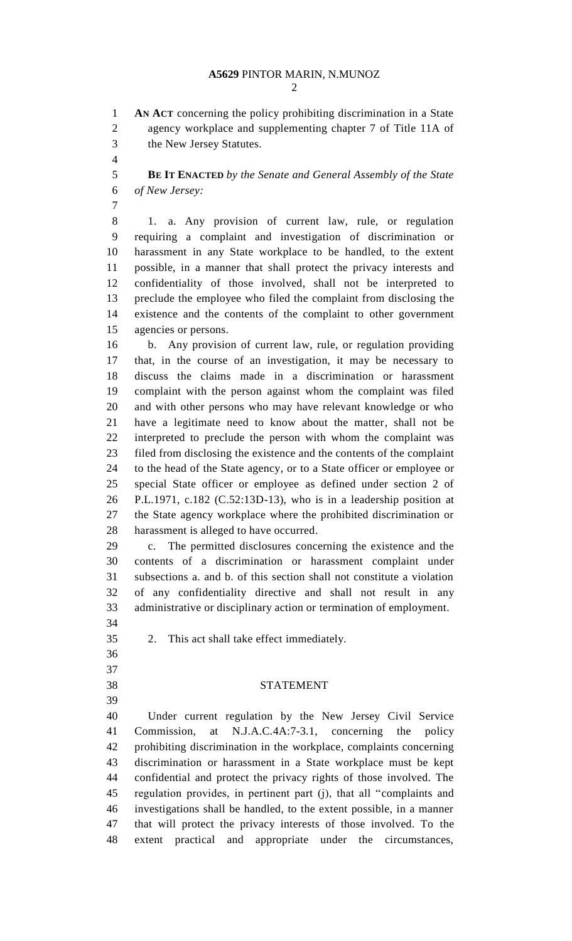## **A5629** PINTOR MARIN, N.MUNOZ

 **AN ACT** concerning the policy prohibiting discrimination in a State agency workplace and supplementing chapter 7 of Title 11A of the New Jersey Statutes.

 **BE IT ENACTED** *by the Senate and General Assembly of the State of New Jersey:*

 1. a. Any provision of current law, rule, or regulation requiring a complaint and investigation of discrimination or harassment in any State workplace to be handled, to the extent possible, in a manner that shall protect the privacy interests and confidentiality of those involved, shall not be interpreted to preclude the employee who filed the complaint from disclosing the existence and the contents of the complaint to other government agencies or persons.

 b. Any provision of current law, rule, or regulation providing that, in the course of an investigation, it may be necessary to discuss the claims made in a discrimination or harassment complaint with the person against whom the complaint was filed and with other persons who may have relevant knowledge or who have a legitimate need to know about the matter, shall not be interpreted to preclude the person with whom the complaint was filed from disclosing the existence and the contents of the complaint to the head of the State agency, or to a State officer or employee or special State officer or employee as defined under section 2 of P.L.1971, c.182 (C.52:13D-13), who is in a leadership position at the State agency workplace where the prohibited discrimination or harassment is alleged to have occurred.

 c. The permitted disclosures concerning the existence and the contents of a discrimination or harassment complaint under subsections a. and b. of this section shall not constitute a violation of any confidentiality directive and shall not result in any administrative or disciplinary action or termination of employment. 

2. This act shall take effect immediately.

- 
- 
- 

# STATEMENT

 Under current regulation by the New Jersey Civil Service Commission, at N.J.A.C.4A:7-3.1, concerning the policy prohibiting discrimination in the workplace, complaints concerning discrimination or harassment in a State workplace must be kept confidential and protect the privacy rights of those involved. The regulation provides, in pertinent part (j), that all "complaints and investigations shall be handled, to the extent possible, in a manner that will protect the privacy interests of those involved. To the extent practical and appropriate under the circumstances,